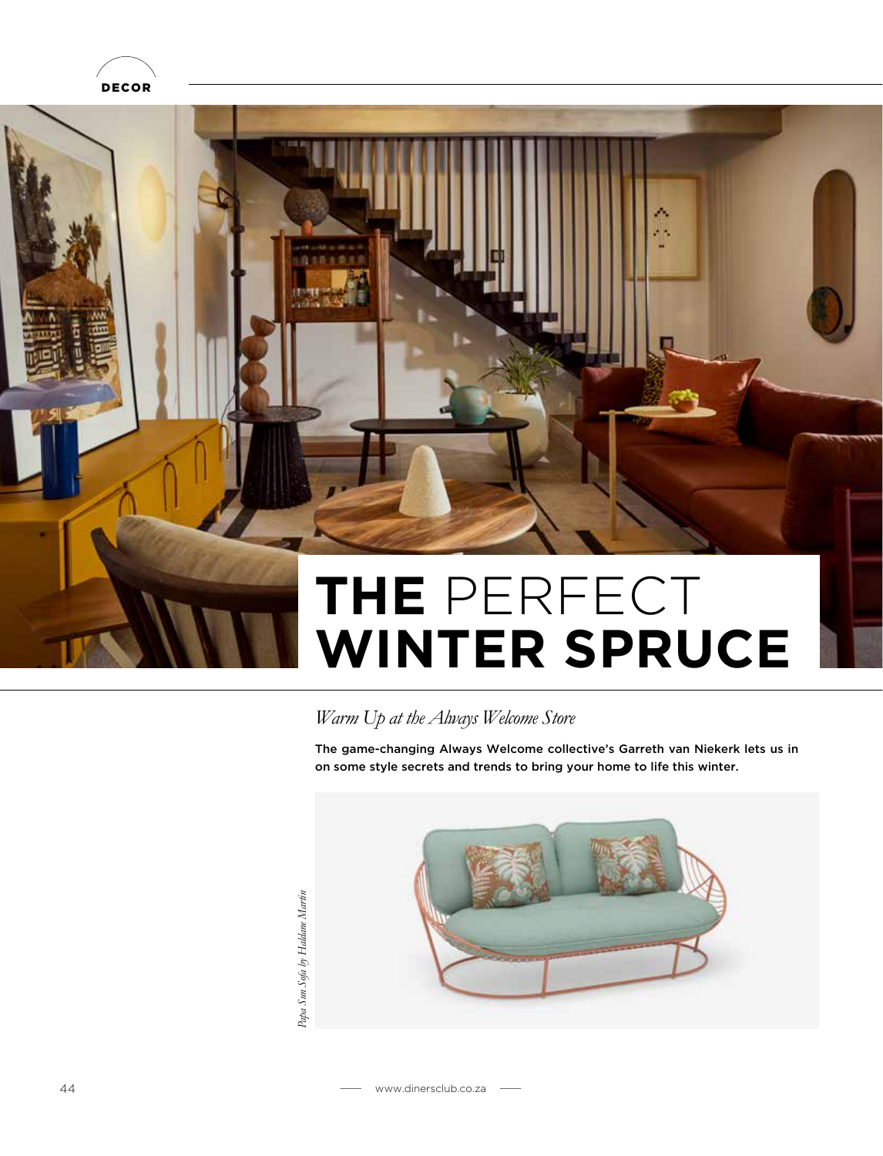



### *Warm Up at the Always Welcome Store*

The game-changing Always Welcome collective's Garreth van Niekerk lets us in on some style secrets and trends to bring your home to life this winter.



Papa Sun Sofa by Haldane Martin *Papa Sun Sofa by Haldane Martin*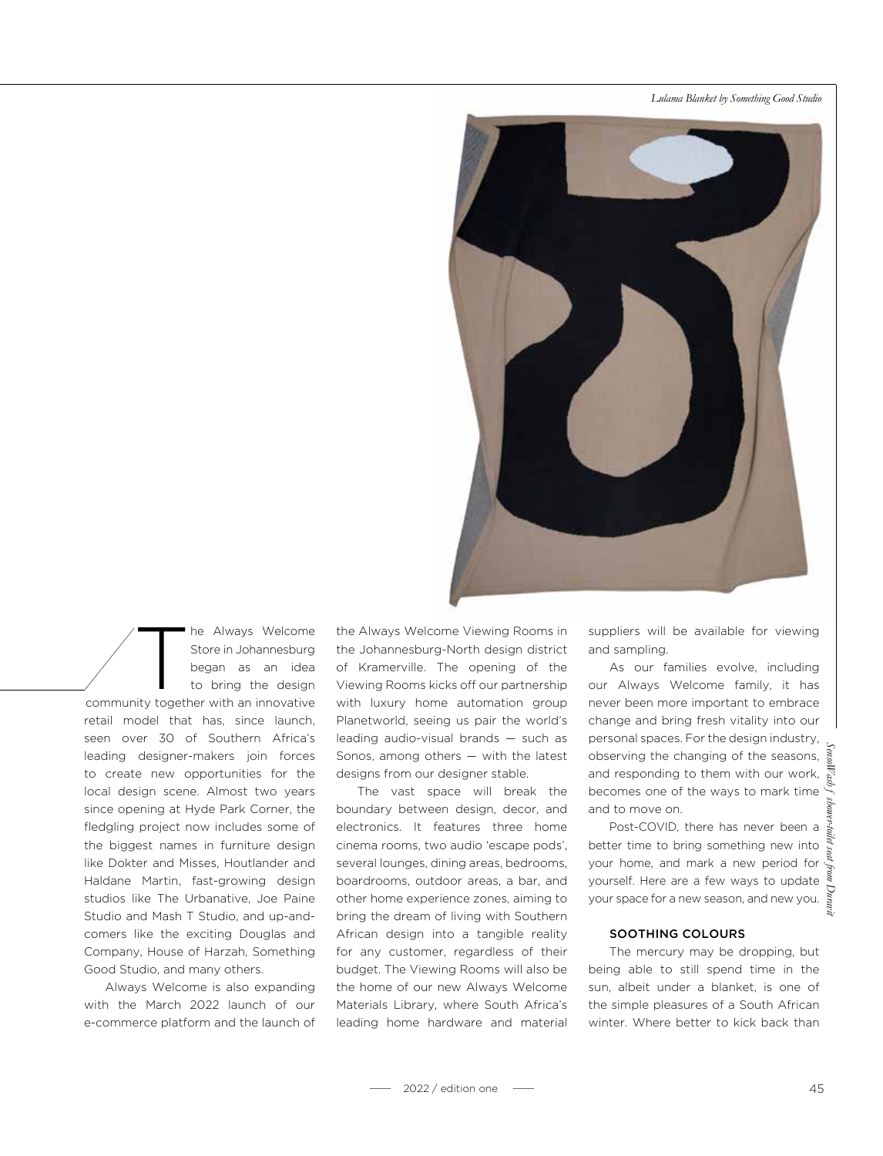*Lulama Blanket by Something Good Studio*



The Always Welcome<br>Store in Johannesburg<br>began as an idea<br>to bring the design<br>sity together with an innovative Store in Johannesburg began as an idea to bring the design community together with an innovative retail model that has, since launch, seen over 30 of Southern Africa's leading designer-makers join forces to create new opportunities for the local design scene. Almost two years since opening at Hyde Park Corner, the fledgling project now includes some of the biggest names in furniture design like Dokter and Misses, Houtlander and Haldane Martin, fast-growing design

studios like The Urbanative, Joe Paine Studio and Mash T Studio, and up-andcomers like the exciting Douglas and Company, House of Harzah, Something Good Studio, and many others.

Always Welcome is also expanding with the March 2022 launch of our e-commerce platform and the launch of the Always Welcome Viewing Rooms in the Johannesburg-North design district of Kramerville. The opening of the Viewing Rooms kicks off our partnership with luxury home automation group Planetworld, seeing us pair the world's leading audio-visual brands — such as Sonos, among others — with the latest designs from our designer stable.

The vast space will break the boundary between design, decor, and electronics. It features three home cinema rooms, two audio 'escape pods', several lounges, dining areas, bedrooms, boardrooms, outdoor areas, a bar, and other home experience zones, aiming to bring the dream of living with Southern African design into a tangible reality for any customer, regardless of their budget. The Viewing Rooms will also be the home of our new Always Welcome Materials Library, where South Africa's leading home hardware and material suppliers will be available for viewing and sampling.

As our families evolve, including our Always Welcome family, it has never been more important to embrace change and bring fresh vitality into our personal spaces. For the design industry, observing the changing of the seasons, and responding to them with our work, becomes one of the ways to mark time and to move on.

Post-COVID, there has never been a better time to bring something new into your home, and mark a new period for yourself. Here are a few ways to update  $\frac{3}{3}$ your space for a new season, and new you.

#### SOOTHING COLOURS

The mercury may be dropping, but being able to still spend time in the sun, albeit under a blanket, is one of the simple pleasures of a South African winter. Where better to kick back than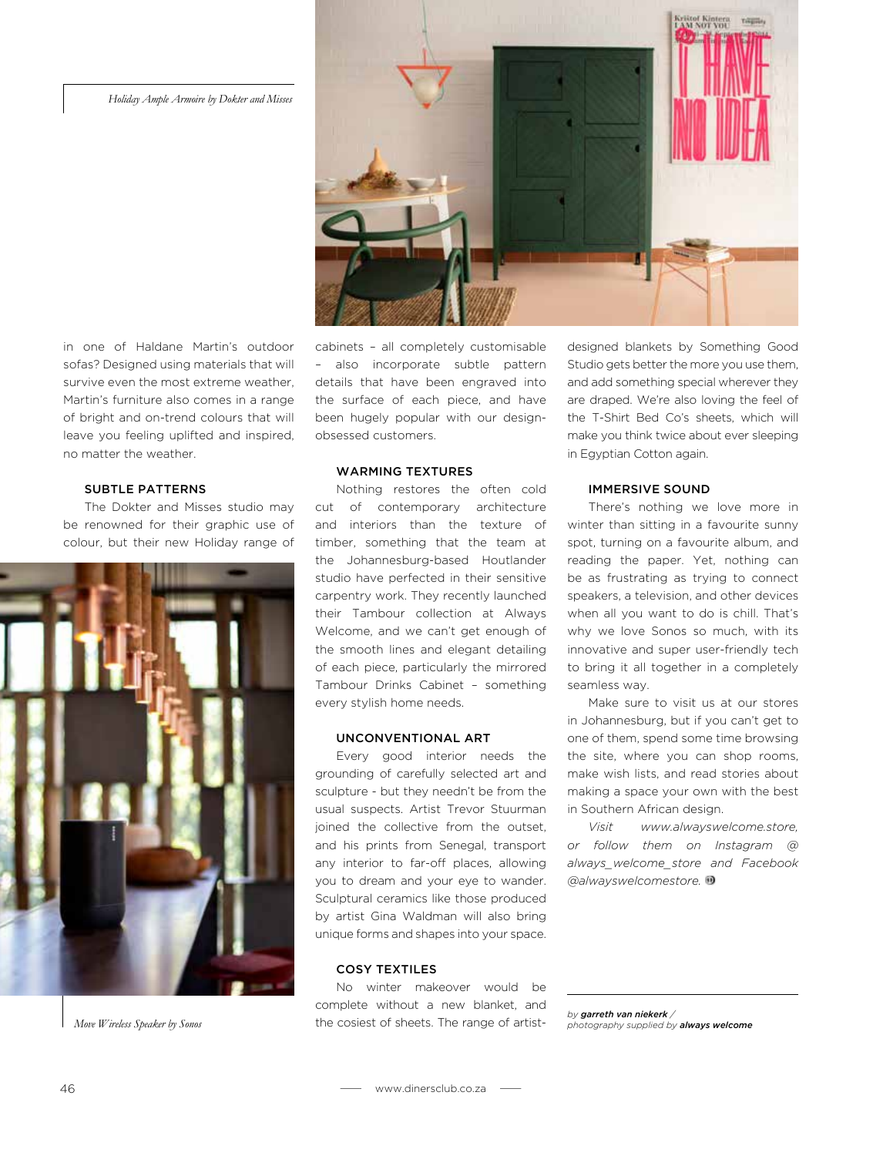#### *Holiday Ample Armoire by Dokter and Misses*



in one of Haldane Martin's outdoor sofas? Designed using materials that will survive even the most extreme weather, Martin's furniture also comes in a range of bright and on-trend colours that will leave you feeling uplifted and inspired, no matter the weather.

#### SUBTLE PATTERNS

The Dokter and Misses studio may be renowned for their graphic use of colour, but their new Holiday range of



*Move Wireless Speaker by Sonos*

cabinets – all completely customisable – also incorporate subtle pattern details that have been engraved into the surface of each piece, and have been hugely popular with our designobsessed customers.

#### WARMING TEXTURES

Nothing restores the often cold cut of contemporary architecture and interiors than the texture of timber, something that the team at the Johannesburg-based Houtlander studio have perfected in their sensitive carpentry work. They recently launched their Tambour collection at Always Welcome, and we can't get enough of the smooth lines and elegant detailing of each piece, particularly the mirrored Tambour Drinks Cabinet – something every stylish home needs.

#### UNCONVENTIONAL ART

Every good interior needs the grounding of carefully selected art and sculpture - but they needn't be from the usual suspects. Artist Trevor Stuurman joined the collective from the outset, and his prints from Senegal, transport any interior to far-off places, allowing you to dream and your eye to wander. Sculptural ceramics like those produced by artist Gina Waldman will also bring unique forms and shapes into your space.

#### COSY TEXTILES

No winter makeover would be complete without a new blanket, and the cosiest of sheets. The range of artistdesigned blankets by Something Good Studio gets better the more you use them, and add something special wherever they are draped. We're also loving the feel of the T-Shirt Bed Co's sheets, which will make you think twice about ever sleeping in Egyptian Cotton again.

#### IMMERSIVE SOUND

There's nothing we love more in winter than sitting in a favourite sunny spot, turning on a favourite album, and reading the paper. Yet, nothing can be as frustrating as trying to connect speakers, a television, and other devices when all you want to do is chill. That's why we love Sonos so much, with its innovative and super user-friendly tech to bring it all together in a completely seamless way.

Make sure to visit us at our stores in Johannesburg, but if you can't get to one of them, spend some time browsing the site, where you can shop rooms, make wish lists, and read stories about making a space your own with the best in Southern African design.

*Visit www.alwayswelcome.store, or follow them on Instagram @ always\_welcome\_store and Facebook @alwayswelcomestore.*

*by garreth van niekerk / photography supplied by always welcome*